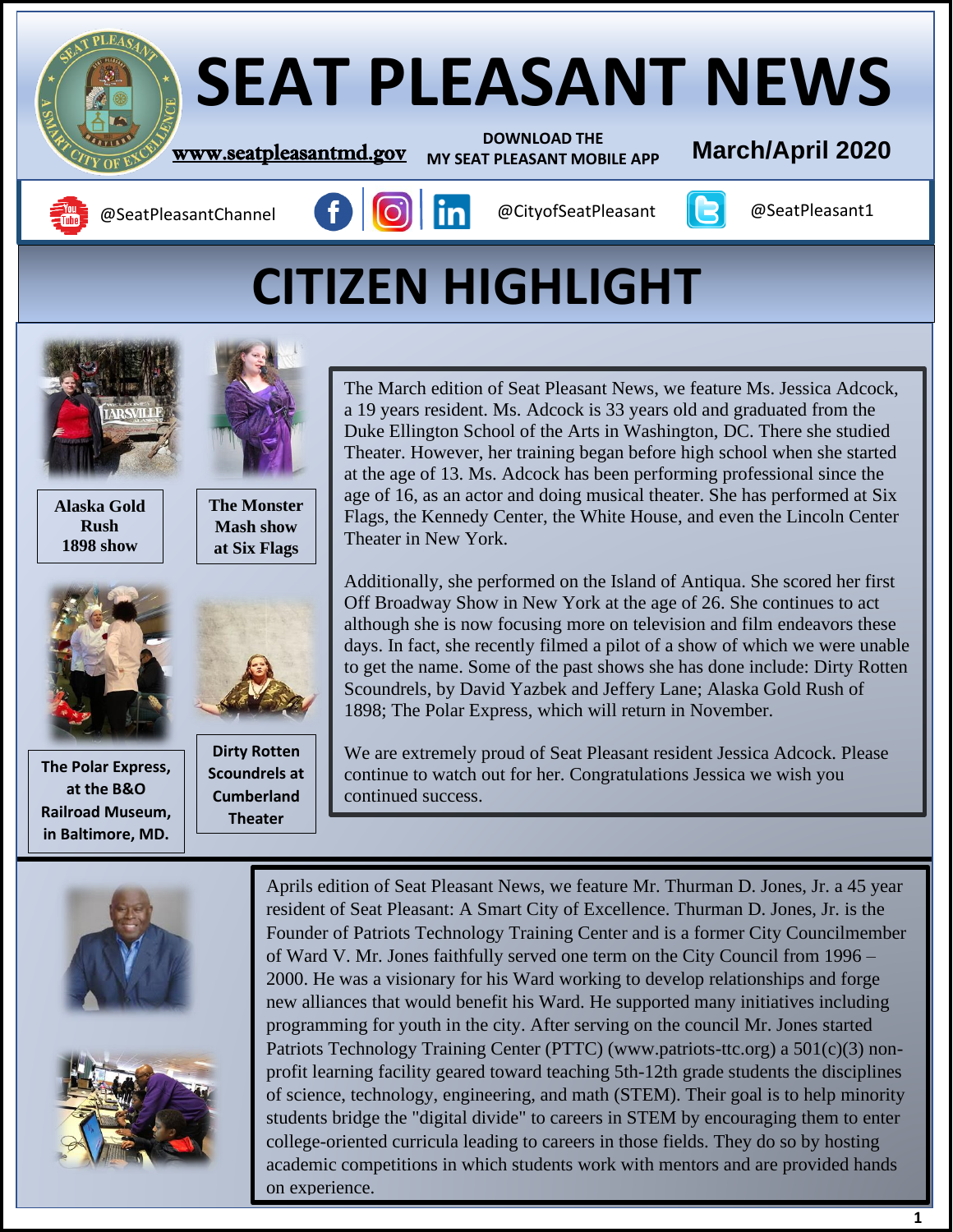

# **CITIZEN HIGHLIGHT**



**Alaska Gold Rush 1898 show**



**Railroad Museum,**<br> **Railroad Museum, The Polar Express, at the B&O in Baltimore, MD.**



**The Monster Mash show at Six Flags**



**Dirty Rotten Scoundrels at Cumberland Theater**

The March edition of Seat Pleasant News, we feature Ms. Jessica Adcock, a 19 years resident. Ms. Adcock is 33 years old and graduated from the Duke Ellington School of the Arts in Washington, DC. There she studied Theater. However, her training began before high school when she started at the age of 13. Ms. Adcock has been performing professional since the age of 16, as an actor and doing musical theater. She has performed at Six Flags, the Kennedy Center, the White House, and even the Lincoln Center Theater in New York.

Additionally, she performed on the Island of Antiqua. She scored her first Off Broadway Show in New York at the age of 26. She continues to act although she is now focusing more on television and film endeavors these days. In fact, she recently filmed a pilot of a show of which we were unable to get the name. Some of the past shows she has done include: Dirty Rotten Scoundrels, by David Yazbek and Jeffery Lane; Alaska Gold Rush of 1898; The Polar Express, which will return in November.

We are extremely proud of Seat Pleasant resident Jessica Adcock. Please continue to watch out for her. Congratulations Jessica we wish you continued success.





Aprils edition of Seat Pleasant News, we feature Mr. Thurman D. Jones, Jr. a 45 year resident of Seat Pleasant: A Smart City of Excellence. Thurman D. Jones, Jr. is the Founder of Patriots Technology Training Center and is a former City Councilmember of Ward V. Mr. Jones faithfully served one term on the City Council from 1996 – 2000. He was a visionary for his Ward working to develop relationships and forge new alliances that would benefit his Ward. He supported many initiatives including programming for youth in the city. After serving on the council Mr. Jones started Patriots Technology Training Center (PTTC) (www.patriots-ttc.org) a 501(c)(3) nonprofit learning facility geared toward teaching 5th-12th grade students the disciplines of science, technology, engineering, and math (STEM). Their goal is to help minority students bridge the "digital divide" to careers in STEM by encouraging them to enter college-oriented curricula leading to careers in those fields. They do so by hosting academic competitions in which students work with mentors and are provided hands on experience.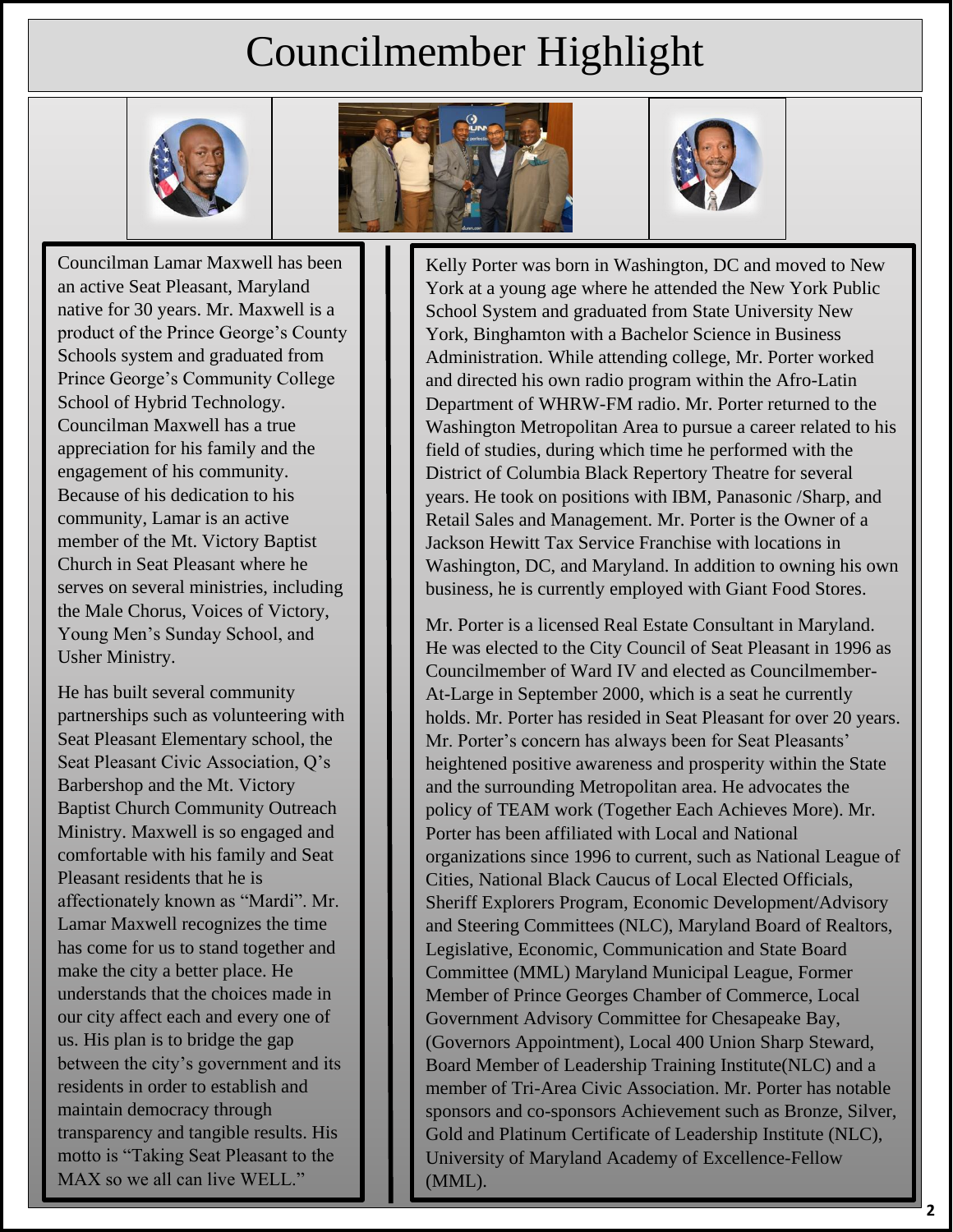# Councilmember Highlight







Councilman Lamar Maxwell has been an active Seat Pleasant, Maryland native for 30 years. Mr. Maxwell is a product of the Prince George's County Schools system and graduated from Prince George's Community College School of Hybrid Technology. Councilman Maxwell has a true appreciation for his family and the engagement of his community. Because of his dedication to his community, Lamar is an active member of the Mt. Victory Baptist Church in Seat Pleasant where he serves on several ministries, including the Male Chorus, Voices of Victory, Young Men's Sunday School, and Usher Ministry.

He has built several community partnerships such as volunteering with Seat Pleasant Elementary school, the Seat Pleasant Civic Association, Q's Barbershop and the Mt. Victory Baptist Church Community Outreach Ministry. Maxwell is so engaged and comfortable with his family and Seat Pleasant residents that he is affectionately known as "Mardi". Mr. Lamar Maxwell recognizes the time has come for us to stand together and make the city a better place. He understands that the choices made in our city affect each and every one of us. His plan is to bridge the gap between the city's government and its residents in order to establish and maintain democracy through transparency and tangible results. His motto is "Taking Seat Pleasant to the MAX so we all can live WELL."

Kelly Porter was born in Washington, DC and moved to New York at a young age where he attended the New York Public School System and graduated from State University New York, Binghamton with a Bachelor Science in Business Administration. While attending college, Mr. Porter worked and directed his own radio program within the Afro-Latin Department of WHRW-FM radio. Mr. Porter returned to the Washington Metropolitan Area to pursue a career related to his field of studies, during which time he performed with the District of Columbia Black Repertory Theatre for several years. He took on positions with IBM, Panasonic /Sharp, and Retail Sales and Management. Mr. Porter is the Owner of a Jackson Hewitt Tax Service Franchise with locations in Washington, DC, and Maryland. In addition to owning his own business, he is currently employed with Giant Food Stores.

Mr. Porter is a licensed Real Estate Consultant in Maryland. He was elected to the City Council of Seat Pleasant in 1996 as Councilmember of Ward IV and elected as Councilmember-At-Large in September 2000, which is a seat he currently holds. Mr. Porter has resided in Seat Pleasant for over 20 years. Mr. Porter's concern has always been for Seat Pleasants' heightened positive awareness and prosperity within the State and the surrounding Metropolitan area. He advocates the policy of TEAM work (Together Each Achieves More). Mr. Porter has been affiliated with Local and National organizations since 1996 to current, such as National League of Cities, National Black Caucus of Local Elected Officials, Sheriff Explorers Program, Economic Development/Advisory and Steering Committees (NLC), Maryland Board of Realtors, Legislative, Economic, Communication and State Board Committee (MML) Maryland Municipal League, Former Member of Prince Georges Chamber of Commerce, Local Government Advisory Committee for Chesapeake Bay, (Governors Appointment), Local 400 Union Sharp Steward, Board Member of Leadership Training Institute(NLC) and a member of Tri-Area Civic Association. Mr. Porter has notable sponsors and co-sponsors Achievement such as Bronze, Silver, Gold and Platinum Certificate of Leadership Institute (NLC), University of Maryland Academy of Excellence-Fellow (MML).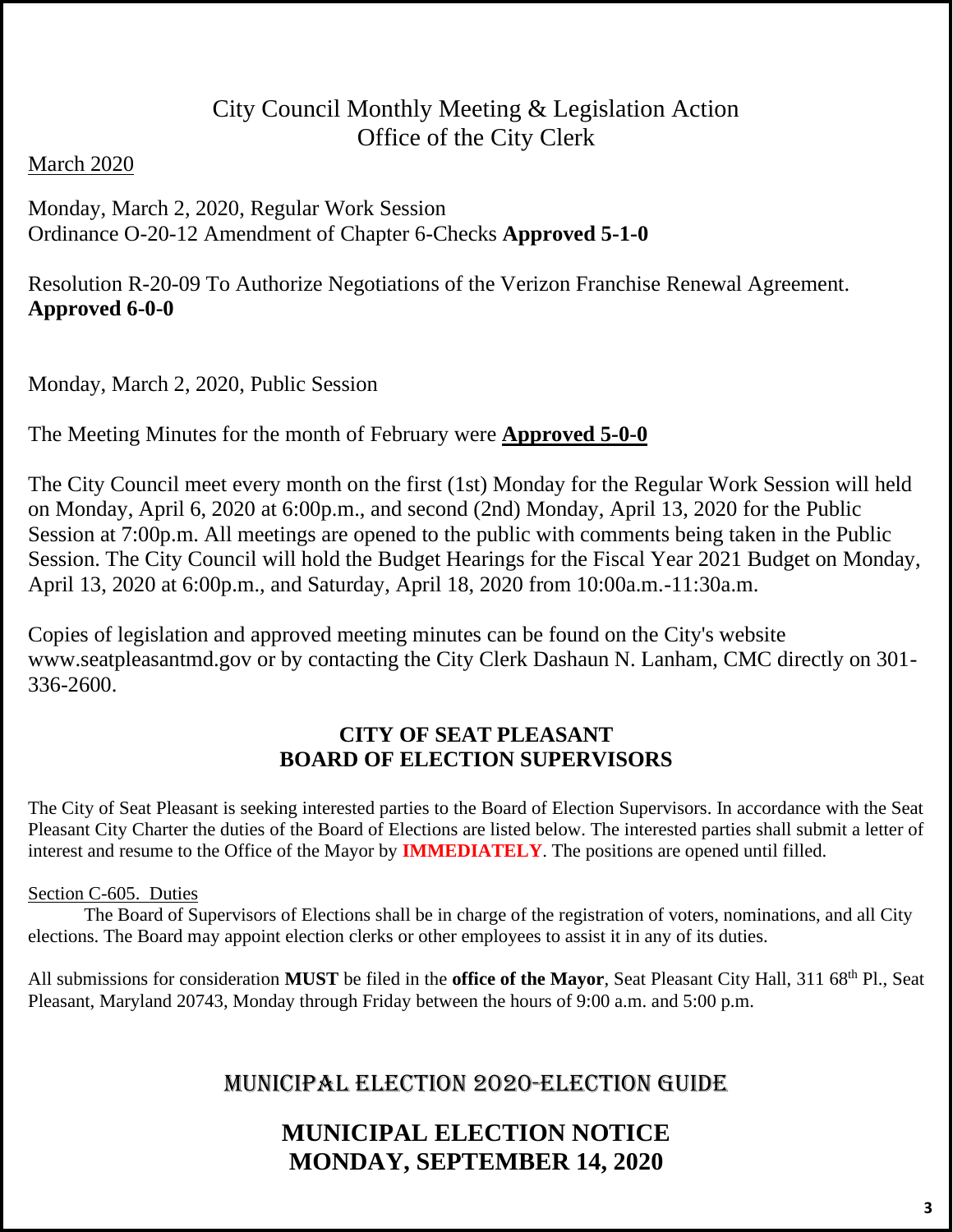# City Council Monthly Meeting & Legislation Action Office of the City Clerk

#### **March 2020**

#### Monday, March 2, 2020, Regular Work Session 48 Ordinance O-20-12 Amendment of Chapter 6-Checks **Approved 5-1-0**

Resolution R-20-09 To Authorize Negotiations of the Verizon Franchise Renewal Agreement. 51 **Approved 6-0-0**

Monday, March 2, 2020, Public Session

56 The Meeting Minutes for the month of February were **Approved 5-0-0**

The City Council meet every month on the first (1st) Monday for the Regular Work Session will held 59 on Monday, April 6, 2020 at 6:00p.m., and second (2nd) Monday, April 13, 2020 for the Public Session at 7:00p.m. All meetings are opened to the public with comments being taken in the Public Session. The City Council will hold the Budget Hearings for the Fiscal Year 2021 Budget on Monday, 62 April 13, 2020 at 6:00p.m., and Saturday, April 18, 2020 from 10:00a.m.-11:30a.m.

Copies of legislation and approved meeting minutes can be found on the City's website www.seatpleasantmd.gov or by contacting the City Clerk Dashaun N. Lanham, CMC directly on 301- $336 - 2600$ .

### 68 **CITY OF SEAT PLEASANT** 69 **BOARD OF ELECTION SUPERVISORS**

The City of Seat Pleasant is seeking interested parties to the Board of Election Supervisors. In accordance with the Seat Pleasant City Charter the duties of the Board of Elections are listed below. The interested parties shall submit a letter of interest and resume to the Office of the Mayor by **IMMEDIATELY**. The positions are opened until filled.

#### Section C-605. Duties

The Board of Supervisors of Elections shall be in charge of the registration of voters, nominations, and all City elections. The Board may appoint election clerks or other employees to assist it in any of its duties.

All submissions for consideration MUST be filed in the office of the Mayor, Seat Pleasant City Hall, 311 68<sup>th</sup> Pl., Seat 80 Pleasant, Maryland 20743, Monday through Friday between the hours of 9:00 a.m. and 5:00 p.m.

# <sup>82</sup> MUNICIPAL ELECTION 2020-ELECTION GUIDE

# <sup>83</sup> **MUNICIPAL ELECTION NOTICE** <sup>84</sup> **MONDAY, SEPTEMBER 14, 2020**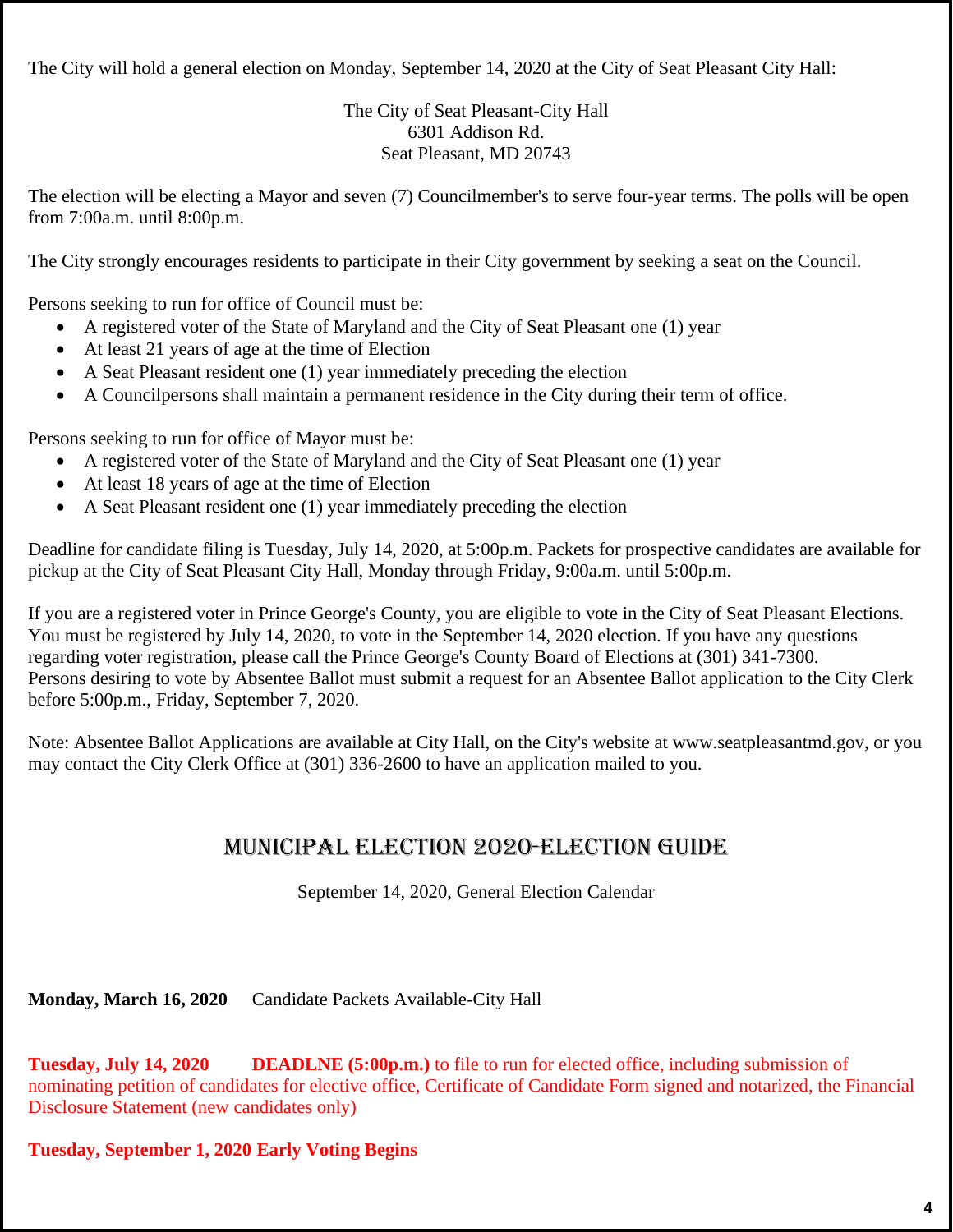The City will hold a general election on Monday, September 14, 2020 at the City of Seat Pleasant City Hall:

The City of Seat Pleasant-City Hall 6301 Addison Rd. Seat Pleasant, MD 20743

The election will be electing a Mayor and seven (7) Councilmember's to serve four-year terms. The polls will be open from 7:00a.m. until 8:00p.m.

The City strongly encourages residents to participate in their City government by seeking a seat on the Council.

Persons seeking to run for office of Council must be:

- A registered voter of the State of Maryland and the City of Seat Pleasant one (1) year
- At least 21 years of age at the time of Election
- A Seat Pleasant resident one  $(1)$  year immediately preceding the election
- A Councilpersons shall maintain a permanent residence in the City during their term of office.

Persons seeking to run for office of Mayor must be:

- A registered voter of the State of Maryland and the City of Seat Pleasant one (1) year
- At least 18 years of age at the time of Election
- $\bullet$  A Seat Pleasant resident one (1) year immediately preceding the election

Deadline for candidate filing is Tuesday, July 14, 2020, at 5:00p.m. Packets for prospective candidates are available for pickup at the City of Seat Pleasant City Hall, Monday through Friday, 9:00a.m. until 5:00p.m.

If you are a registered voter in Prince George's County, you are eligible to vote in the City of Seat Pleasant Elections. You must be registered by July 14, 2020, to vote in the September 14, 2020 election. If you have any questions 113 regarding voter registration, please call the Prince George's County Board of Elections at (301) 341-7300. Persons desiring to vote by Absentee Ballot must submit a request for an Absentee Ballot application to the City Clerk before 5:00p.m., Friday, September 7, 2020.

Note: Absentee Ballot Applications are available at City Hall, on the City's website at www.seatpleasantmd.gov, or you may contact the City Clerk Office at (301) 336-2600 to have an application mailed to you.

# MUNICIPAL ELECTION 2020-ELECTION GUIDE

September 14, 2020, General Election Calendar

Monday, March 16, 2020 Candidate Packets Available-City Hall

129 **Tuesday, July 14, 2020 DEADLNE (5:00p.m.)** to file to run for elected office, including submission of nominating petition of candidates for elective office, Certificate of Candidate Form signed and notarized, the Financial Disclosure Statement (new candidates only)

#### 133 **Tuesday, September 1, 2020 Early Voting Begins**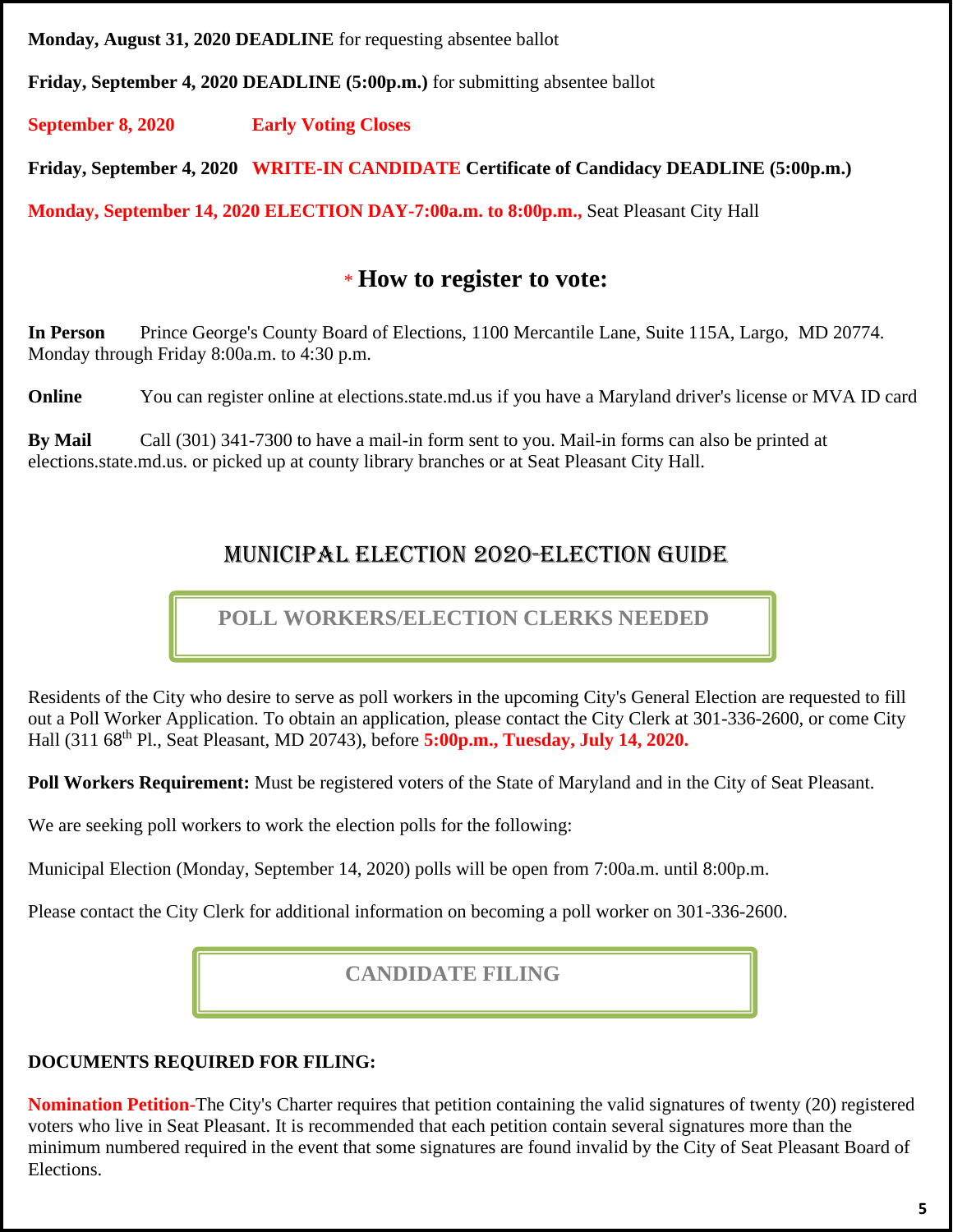**Monday, August 31, 2020 DEADLINE** for requesting absentee ballot

137 **Friday, September 4, 2020 DEADLINE (5:00p.m.)** for submitting absentee ballot

139 **September 8, 2020 Early Voting Closes**

141 **Friday, September 4, 2020 WRITE-IN CANDIDATE Certificate of Candidacy DEADLINE (5:00p.m.)**

143 **Monday, September 14, 2020 ELECTION DAY-7:00a.m. to 8:00p.m.,** Seat Pleasant City Hall

# <sup>146</sup> \* **How to register to vote:**

In Person Prince George's County Board of Elections, 1100 Mercantile Lane, Suite 115A, Largo, MD 20774. Monday through Friday 8:00a.m. to 4:30 p.m.

**Online** You can register online at elections.state.md.us if you have a Maryland driver's license or MVA ID card

**By Mail** Call (301) 341-7300 to have a mail-in form sent to you. Mail-in forms can also be printed at elections.state.md.us. or picked up at county library branches or at Seat Pleasant City Hall.

# <sup>158</sup> MUNICIPAL ELECTION 2020-ELECTION GUIDE

 **POLL WORKERS/ELECTION CLERKS NEEDED**

Residents of the City who desire to serve as poll workers in the upcoming City's General Election are requested to fill out a Poll Worker Application. To obtain an application, please contact the City Clerk at 301-336-2600, or come City Hall (311 68<sup>th</sup> Pl., Seat Pleasant, MD 20743), before **5:00p.m., Tuesday, July 14, 2020.** 

**Poll Workers Requirement:** Must be registered voters of the State of Maryland and in the City of Seat Pleasant.

We are seeking poll workers to work the election polls for the following:

Municipal Election (Monday, September 14, 2020) polls will be open from 7:00a.m. until 8:00p.m.

Please contact the City Clerk for additional information on becoming a poll worker on 301-336-2600.

# **CANDIDATE FILING**

### **DOCUMENTS REQUIRED FOR FILING:**

**Nomination Petition-**The City's Charter requires that petition containing the valid signatures of twenty (20) registered voters who live in Seat Pleasant. It is recommended that each petition contain several signatures more than the minimum numbered required in the event that some signatures are found invalid by the City of Seat Pleasant Board of Elections.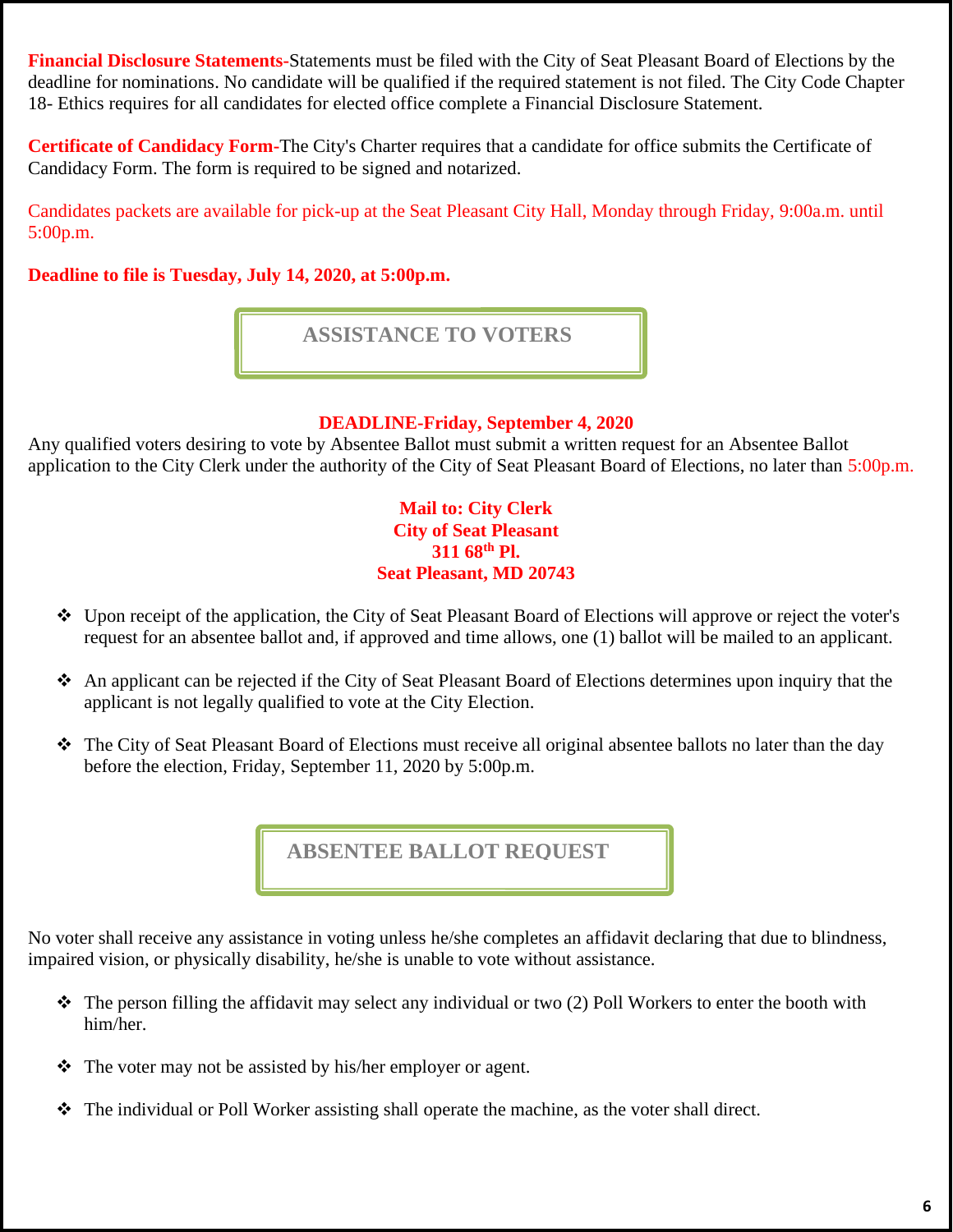**Financial Disclosure Statements-**Statements must be filed with the City of Seat Pleasant Board of Elections by the deadline for nominations. No candidate will be qualified if the required statement is not filed. The City Code Chapter 18- Ethics requires for all candidates for elected office complete a Financial Disclosure Statement.

**Certificate of Candidacy Form-**The City's Charter requires that a candidate for office submits the Certificate of Candidacy Form. The form is required to be signed and notarized.

Candidates packets are available for pick-up at the Seat Pleasant City Hall, Monday through Friday, 9:00a.m. until 5:00p.m.

196 **Deadline to file is Tuesday, July 14, 2020, at 5:00p.m.**

 **ASSISTANCE TO VOTERS**

#### 202 **DEADLINE-Friday, September 4, 2020**

Any qualified voters desiring to vote by Absentee Ballot must submit a written request for an Absentee Ballot application to the City Clerk under the authority of the City of Seat Pleasant Board of Elections, no later than 5:00p.m.

> **Mail to: City Clerk City of Seat Pleasant 311 68th** 208 **Pl. Seat Pleasant, MD 20743**

- Upon receipt of the application, the City of Seat Pleasant Board of Elections will approve or reject the voter's 212 request for an absentee ballot and, if approved and time allows, one (1) ballot will be mailed to an applicant.
- 214 ❖ An applicant can be rejected if the City of Seat Pleasant Board of Elections determines upon inquiry that the applicant is not legally qualified to vote at the City Election.
- <sup>2</sup> The City of Seat Pleasant Board of Elections must receive all original absentee ballots no later than the day before the election, Friday, September 11, 2020 by 5:00p.m.

**ABSENTEE BALLOT REQUEST**

No voter shall receive any assistance in voting unless he/she completes an affidavit declaring that due to blindness, impaired vision, or physically disability, he/she is unable to vote without assistance.

- $\hat{P}$  The person filling the affidavit may select any individual or two (2) Poll Workers to enter the booth with him/her.
- $\triangle$  The voter may not be assisted by his/her employer or agent.
- ◆ The individual or Poll Worker assisting shall operate the machine, as the voter shall direct.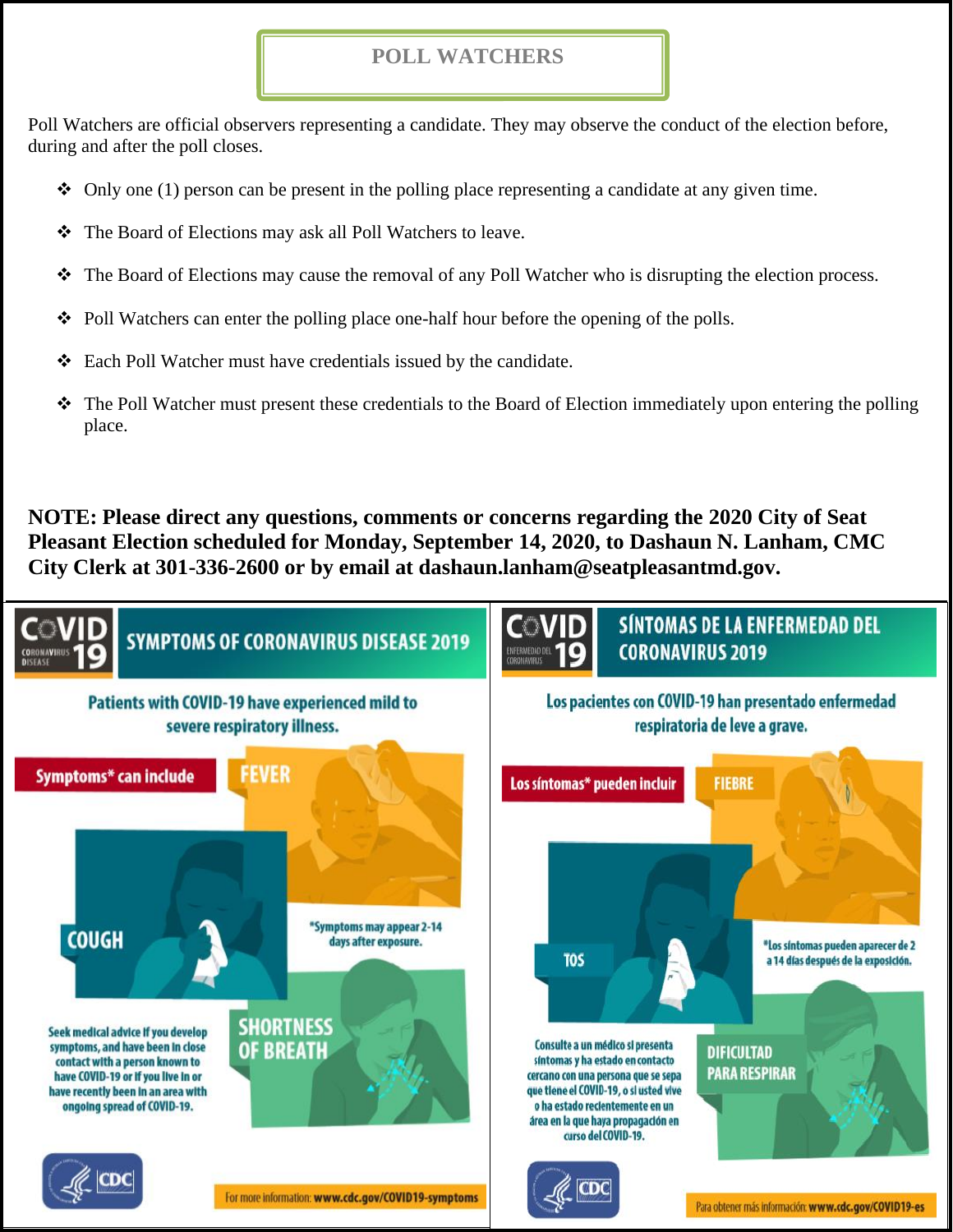#### **POLL WATCHERS**

242 Poll Watchers are official observers representing a candidate. They may observe the conduct of the election before, during and after the poll closes.

- $\div$  Only one (1) person can be present in the polling place representing a candidate at any given time.
- ❖ The Board of Elections may ask all Poll Watchers to leave.
- $\hat{\mathbf{z}}$  The Board of Elections may cause the removal of any Poll Watcher who is disrupting the election process.
- $\div$  Poll Watchers can enter the polling place one-half hour before the opening of the polls.
- $\triangle$  Each Poll Watcher must have credentials issued by the candidate.
- $\hat{\cdot}$  The Poll Watcher must present these credentials to the Board of Election immediately upon entering the polling place.

260 **NOTE: Please direct any questions, comments or concerns regarding the 2020 City of Seat**  261 **Pleasant Election scheduled for Monday, September 14, 2020, to Dashaun N. Lanham, CMC**  262 **City Clerk at 301-336-2600 or by email at dashaun.lanham@seatpleasantmd.gov.**